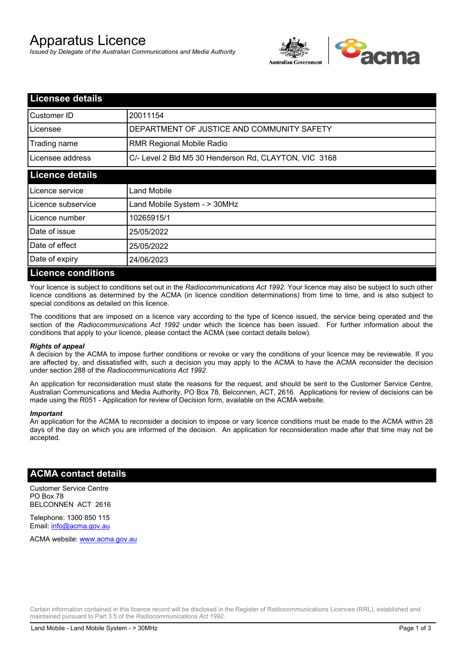# Apparatus Licence

*Issued by Delegate of the Australian Communications and Media Authority*



| <b>Licensee details</b>   |                                                       |
|---------------------------|-------------------------------------------------------|
| Customer ID               | 20011154                                              |
| Licensee                  | DEPARTMENT OF JUSTICE AND COMMUNITY SAFETY            |
| Trading name              | <b>RMR Regional Mobile Radio</b>                      |
| Licensee address          | C/- Level 2 Bld M5 30 Henderson Rd, CLAYTON, VIC 3168 |
| <b>Licence details</b>    |                                                       |
| Licence service           | Land Mobile                                           |
| Licence subservice        | Land Mobile System - > 30MHz                          |
| Licence number            | 10265915/1                                            |
| Date of issue             | 25/05/2022                                            |
| Date of effect            | 25/05/2022                                            |
| Date of expiry            | 24/06/2023                                            |
| <b>Licence conditions</b> |                                                       |

Your licence is subject to conditions set out in the *Radiocommunications Act 1992*. Your licence may also be subject to such other licence conditions as determined by the ACMA (in licence condition determinations) from time to time, and is also subject to special conditions as detailed on this licence.

The conditions that are imposed on a licence vary according to the type of licence issued, the service being operated and the section of the *Radiocommunications Act 1992* under which the licence has been issued. For further information about the conditions that apply to your licence, please contact the ACMA (see contact details below).

#### *Rights of appeal*

A decision by the ACMA to impose further conditions or revoke or vary the conditions of your licence may be reviewable. If you are affected by, and dissatisfied with, such a decision you may apply to the ACMA to have the ACMA reconsider the decision under section 288 of the *Radiocommunications Act 1992*.

An application for reconsideration must state the reasons for the request, and should be sent to the Customer Service Centre, Australian Communications and Media Authority, PO Box 78, Belconnen, ACT, 2616. Applications for review of decisions can be made using the R051 - Application for review of Decision form, available on the ACMA website.

#### *Important*

An application for the ACMA to reconsider a decision to impose or vary licence conditions must be made to the ACMA within 28 days of the day on which you are informed of the decision. An application for reconsideration made after that time may not be accepted.

### **ACMA contact details**

Customer Service Centre PO Box 78 BELCONNEN ACT 2616

Telephone: 1300 850 115 Email: info@acma.gov.au

ACMA website: www.acma.gov.au

Certain information contained in this licence record will be disclosed in the Register of Radiocommunications Licences (RRL), established and maintained pursuant to Part 3.5 of the *Radiocommunications Act 1992.*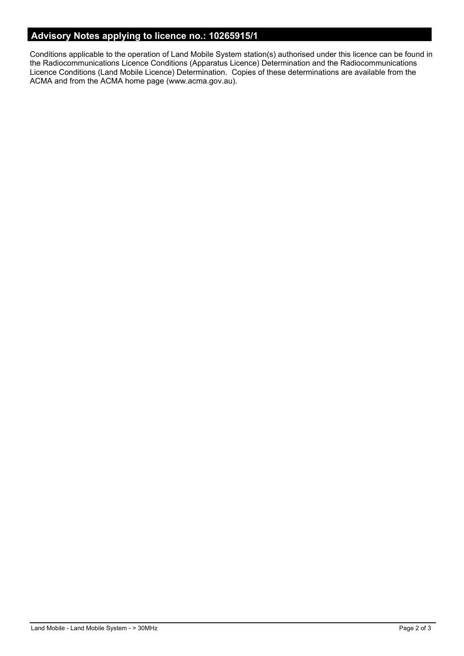## **Advisory Notes applying to licence no.: 10265915/1**

Conditions applicable to the operation of Land Mobile System station(s) authorised under this licence can be found in the Radiocommunications Licence Conditions (Apparatus Licence) Determination and the Radiocommunications Licence Conditions (Land Mobile Licence) Determination. Copies of these determinations are available from the ACMA and from the ACMA home page (www.acma.gov.au).